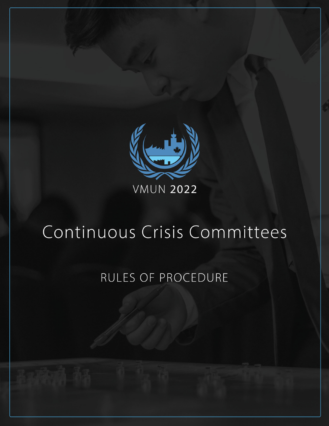

# Continuous Crisis Committees

## RULES OF PROCEDURE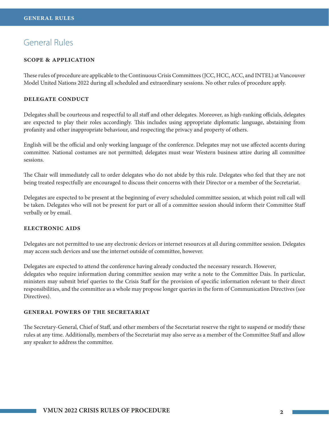## General Rules

#### **scope & application**

These rules of procedure are applicable to the Continuous Crisis Committees (JCC, HCC, ACC, and INTEL) at Vancouver Model United Nations 2022 during all scheduled and extraordinary sessions. No other rules of procedure apply.

#### **delegate conduct**

Delegates shall be courteous and respectful to all staff and other delegates. Moreover, as high-ranking officials, delegates are expected to play their roles accordingly. This includes using appropriate diplomatic language, abstaining from profanity and other inappropriate behaviour, and respecting the privacy and property of others.

English will be the official and only working language of the conference. Delegates may not use affected accents during committee. National costumes are not permitted; delegates must wear Western business attire during all committee sessions.

The Chair will immediately call to order delegates who do not abide by this rule. Delegates who feel that they are not being treated respectfully are encouraged to discuss their concerns with their Director or a member of the Secretariat.

Delegates are expected to be present at the beginning of every scheduled committee session, at which point roll call will be taken. Delegates who will not be present for part or all of a committee session should inform their Committee Staff verbally or by email.

#### **electronic aids**

Delegates are not permitted to use any electronic devices or internet resources at all during committee session. Delegates may access such devices and use the internet outside of committee, however.

Delegates are expected to attend the conference having already conducted the necessary research. However, delegates who require information during committee session may write a note to the Committee Dais. In particular, ministers may submit brief queries to the Crisis Staff for the provision of specific information relevant to their direct responsibilities, and the committee as a whole may propose longer queries in the form of Communication Directives (see Directives).

#### **general powers of the secretariat**

The Secretary-General, Chief of Staff, and other members of the Secretariat reserve the right to suspend or modify these rules at any time. Additionally, members of the Secretariat may also serve as a member of the Committee Staff and allow any speaker to address the committee.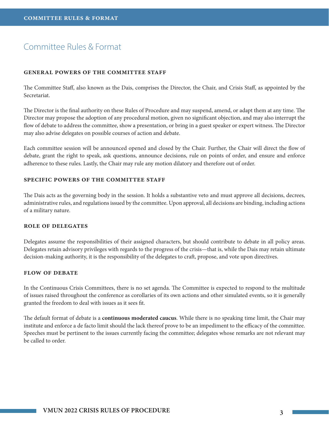## Committee Rules & Format

#### **general powers of the committee staff**

The Committee Staff, also known as the Dais, comprises the Director, the Chair, and Crisis Staff, as appointed by the Secretariat.

The Director is the final authority on these Rules of Procedure and may suspend, amend, or adapt them at any time. The Director may propose the adoption of any procedural motion, given no significant objection, and may also interrupt the flow of debate to address the committee, show a presentation, or bring in a guest speaker or expert witness. The Director may also advise delegates on possible courses of action and debate.

Each committee session will be announced opened and closed by the Chair. Further, the Chair will direct the flow of debate, grant the right to speak, ask questions, announce decisions, rule on points of order, and ensure and enforce adherence to these rules. Lastly, the Chair may rule any motion dilatory and therefore out of order.

#### **SPECIFIC POWERS OF THE COMMITTEE STAFF**

The Dais acts as the governing body in the session. It holds a substantive veto and must approve all decisions, decrees, administrative rules, and regulations issued by the committee. Upon approval, all decisions are binding, including actions of a military nature.

#### **role of delegates**

Delegates assume the responsibilities of their assigned characters, but should contribute to debate in all policy areas. Delegates retain advisory privileges with regards to the progress of the crisis—that is, while the Dais may retain ultimate decision-making authority, it is the responsibility of the delegates to craft, propose, and vote upon directives.

#### **flow of debate**

In the Continuous Crisis Committees, there is no set agenda. The Committee is expected to respond to the multitude of issues raised throughout the conference as corollaries of its own actions and other simulated events, so it is generally granted the freedom to deal with issues as it sees fit.

The default format of debate is a **continuous moderated caucus**. While there is no speaking time limit, the Chair may institute and enforce a de facto limit should the lack thereof prove to be an impediment to the efficacy of the committee. Speeches must be pertinent to the issues currently facing the committee; delegates whose remarks are not relevant may be called to order.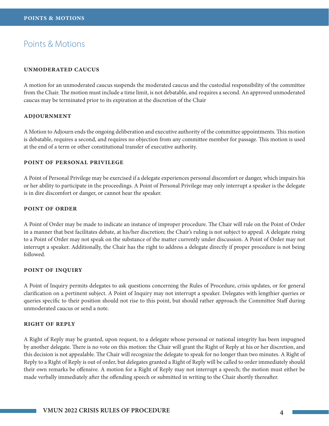### Points & Motions

#### **unmoderated caucus**

A motion for an unmoderated caucus suspends the moderated caucus and the custodial responsibility of the committee from the Chair. The motion must include a time limit, is not debatable, and requires a second. An approved unmoderated caucus may be terminated prior to its expiration at the discretion of the Chair

#### **adjournment**

A Motion to Adjourn ends the ongoing deliberation and executive authority of the committee appointments. This motion is debatable, requires a second, and requires no objection from any committee member for passage. This motion is used at the end of a term or other constitutional transfer of executive authority.

#### **point of personal privilege**

A Point of Personal Privilege may be exercised if a delegate experiences personal discomfort or danger, which impairs his or her ability to participate in the proceedings. A Point of Personal Privilege may only interrupt a speaker is the delegate is in dire discomfort or danger, or cannot hear the speaker.

#### **point of order**

A Point of Order may be made to indicate an instance of improper procedure. The Chair will rule on the Point of Order in a manner that best facilitates debate, at his/her discretion; the Chair's ruling is not subject to appeal. A delegate rising to a Point of Order may not speak on the substance of the matter currently under discussion. A Point of Order may not interrupt a speaker. Additionally, the Chair has the right to address a delegate directly if proper procedure is not being followed.

#### **point of inquiry**

A Point of Inquiry permits delegates to ask questions concerning the Rules of Procedure, crisis updates, or for general clarification on a pertinent subject. A Point of Inquiry may not interrupt a speaker. Delegates with lengthier queries or queries specific to their position should not rise to this point, but should rather approach the Committee Staff during unmoderated caucus or send a note.

#### **right of reply**

A Right of Reply may be granted, upon request, to a delegate whose personal or national integrity has been impugned by another delegate. There is no vote on this motion: the Chair will grant the Right of Reply at his or her discretion, and this decision is not appealable. The Chair will recognize the delegate to speak for no longer than two minutes. A Right of Reply to a Right of Reply is out of order, but delegates granted a Right of Reply will be called to order immediately should their own remarks be offensive. A motion for a Right of Reply may not interrupt a speech; the motion must either be made verbally immediately after the offending speech or submitted in writing to the Chair shortly thereafter.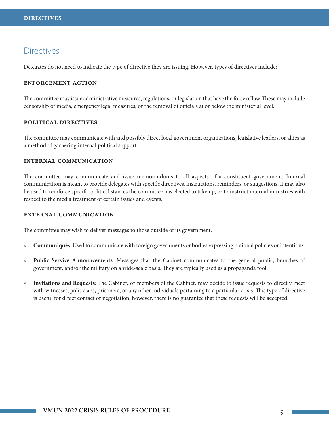## **Directives**

Delegates do not need to indicate the type of directive they are issuing. However, types of directives include:

#### **enforcement action**

The committee may issue administrative measures, regulations, or legislation that have the force of law. These may include censorship of media, emergency legal measures, or the removal of officials at or below the ministerial level.

#### **political directives**

The committee may communicate with and possibly direct local government organizations, legislative leaders, or allies as a method of garnering internal political support.

#### **internal communication**

The committee may communicate and issue memorandums to all aspects of a constituent government. Internal communication is meant to provide delegates with specific directives, instructions, reminders, or suggestions. It may also be used to reinforce specific political stances the committee has elected to take up, or to instruct internal ministries with respect to the media treatment of certain issues and events.

#### **external communication**

The committee may wish to deliver messages to those outside of its government.

- » **Communiqués**: Used to communicate with foreign governments or bodies expressing national policies or intentions.
- » **Public Service Announcements**: Messages that the Cabinet communicates to the general public, branches of government, and/or the military on a wide-scale basis. They are typically used as a propaganda tool.
- » **Invitations and Requests**: The Cabinet, or members of the Cabinet, may decide to issue requests to directly meet with witnesses, politicians, prisoners, or any other individuals pertaining to a particular crisis. This type of directive is useful for direct contact or negotiation; however, there is no guarantee that these requests will be accepted.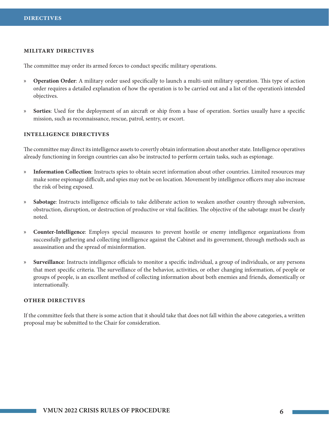#### **military directives**

The committee may order its armed forces to conduct specific military operations.

- » **Operation Order**: A military order used specifically to launch a multi-unit military operation. This type of action order requires a detailed explanation of how the operation is to be carried out and a list of the operation's intended objectives.
- » **Sorties**: Used for the deployment of an aircraft or ship from a base of operation. Sorties usually have a specific mission, such as reconnaissance, rescue, patrol, sentry, or escort.

#### **intelligence directives**

The committee may direct its intelligence assets to covertly obtain information about another state. Intelligence operatives already functioning in foreign countries can also be instructed to perform certain tasks, such as espionage.

- » **Information Collection**: Instructs spies to obtain secret information about other countries. Limited resources may make some espionage difficult, and spies may not be on location. Movement by intelligence officers may also increase the risk of being exposed.
- » **Sabotage**: Instructs intelligence officials to take deliberate action to weaken another country through subversion, obstruction, disruption, or destruction of productive or vital facilities. The objective of the sabotage must be clearly noted.
- » **Counter-Intelligence**: Employs special measures to prevent hostile or enemy intelligence organizations from successfully gathering and collecting intelligence against the Cabinet and its government, through methods such as assassination and the spread of misinformation.
- » **Surveillance**: Instructs intelligence officials to monitor a specific individual, a group of individuals, or any persons that meet specific criteria. The surveillance of the behavior, activities, or other changing information, of people or groups of people, is an excellent method of collecting information about both enemies and friends, domestically or internationally.

#### **other directives**

If the committee feels that there is some action that it should take that does not fall within the above categories, a written proposal may be submitted to the Chair for consideration.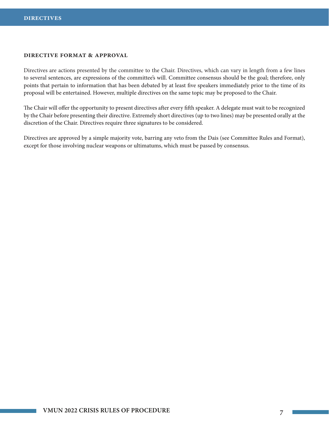#### **directive format & approval**

Directives are actions presented by the committee to the Chair. Directives, which can vary in length from a few lines to several sentences, are expressions of the committee's will. Committee consensus should be the goal; therefore, only points that pertain to information that has been debated by at least five speakers immediately prior to the time of its proposal will be entertained. However, multiple directives on the same topic may be proposed to the Chair.

The Chair will offer the opportunity to present directives after every fifth speaker. A delegate must wait to be recognized by the Chair before presenting their directive. Extremely short directives (up to two lines) may be presented orally at the discretion of the Chair. Directives require three signatures to be considered.

Directives are approved by a simple majority vote, barring any veto from the Dais (see Committee Rules and Format), except for those involving nuclear weapons or ultimatums, which must be passed by consensus.